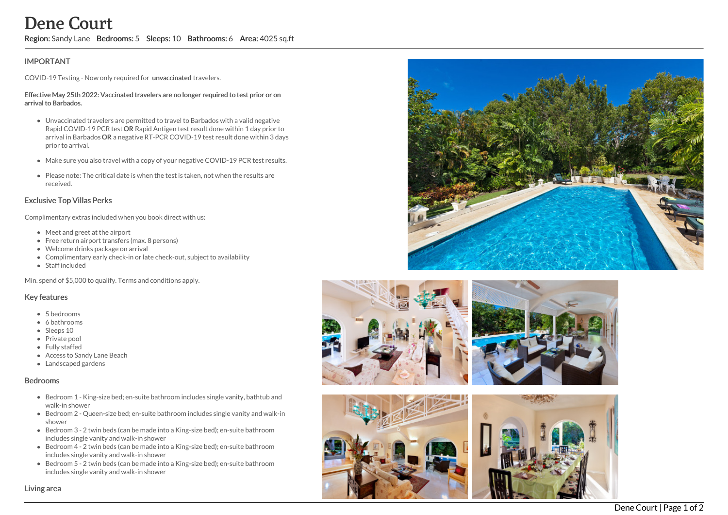Region: Sandy Lane Bedrooms: 5 Sleeps: 10 Bathrooms: 6 Area: 4025 sq.ft

# **IMPORTANT**

COVID-19 Testing - Now only required for unvaccinated travelers.

#### Effective May 25th 2022: Vaccinated travelers are no longer required to test prior or on arrival to Barbados.

- Unvaccinated travelers are permitted to travel to Barbados with a valid negative Rapid COVID-19 PCR test OR Rapid Antigen test result done within 1 day prior to arrival in Barbados OR a negative RT-PCR COVID-19 test result done within 3 days prior to arrival. **Dene Court (2011)**<br> **Region:** Sandy Lane Bedrooms: 5 Sleeps: 10 Bathrooms: 6 Area: 4025 sq.fl<br>
IMPORTANT<br>
COVID-19 Testing: Now only required for unwaccinated travelers.<br>
Effective May 251: NO22: Vaccinated travelers are
	- Make sure you also travel with a copy of your negative COVID-19 PCR test results.
	- Please note: The critical date is when the test is taken, not when the results are received.

## Exclusive Top Villas Perks

Complimentary extras included when you book direct with us:

- Meet and greet at the airport
- Free return airport transfers (max. 8 persons)
- Welcome drinks package on arrival
- Complimentary early check-in or late check-out, subject to availability
- Staff included

Min. spend of \$5,000 to qualify. Terms and conditions apply.

## Key features

- 5 bedrooms
- 6 bathrooms
- Sleeps 10
- Private pool
- Fully staffed
- Access to Sandy Lane Beach
- Landscaped gardens

### Bedrooms

- Bedroom 1 King-size bed; en-suite bathroom includes single vanity, bathtub and walk-in shower
- Bedroom 2 Queen-size bed; en-suite bathroom includes single vanity and walk-in shower
- Bedroom 3 2 twin beds (can be made into a King-size bed); en-suite bathroom includes single vanity and walk-in shower
- Bedroom 4 2 twin beds (can be made into a King-size bed); en-suite bathroom includes single vanity and walk-in shower
- Bedroom 5 2 twin beds (can be made into a King-size bed); en-suite bathroom includes single vanity and walk-in shower